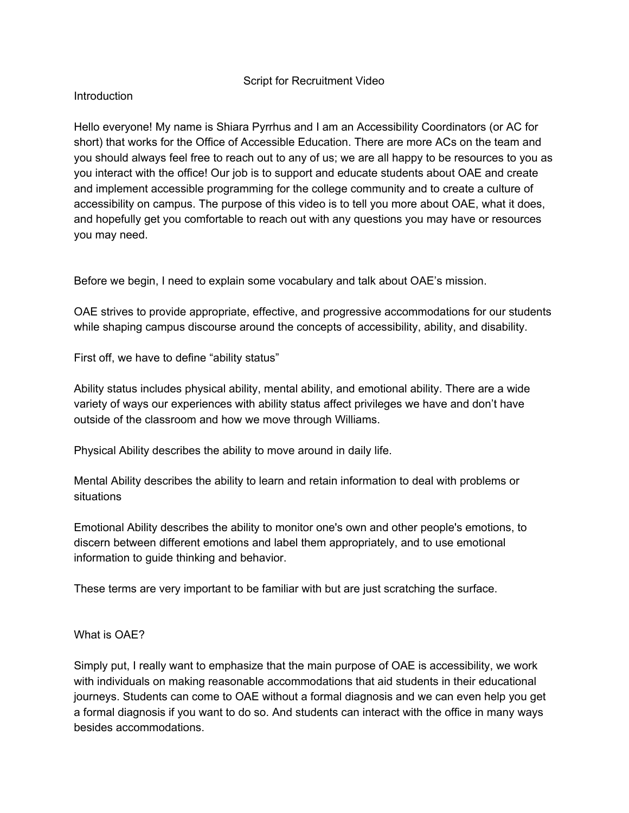## Script for Recruitment Video

## Introduction

Hello everyone! My name is Shiara Pyrrhus and I am an Accessibility Coordinators (or AC for short) that works for the Office of Accessible Education. There are more ACs on the team and you should always feel free to reach out to any of us; we are all happy to be resources to you as you interact with the office! Our job is to support and educate students about OAE and create and implement accessible programming for the college community and to create a culture of accessibility on campus. The purpose of this video is to tell you more about OAE, what it does, and hopefully get you comfortable to reach out with any questions you may have or resources you may need.

Before we begin, I need to explain some vocabulary and talk about OAE's mission.

OAE strives to provide appropriate, effective, and progressive accommodations for our students while shaping campus discourse around the concepts of accessibility, ability, and disability.

First off, we have to define "ability status"

Ability status includes physical ability, mental ability, and emotional ability. There are a wide variety of ways our experiences with ability status affect privileges we have and don't have outside of the classroom and how we move through Williams.

Physical Ability describes the ability to move around in daily life.

Mental Ability describes the ability to learn and retain information to deal with problems or situations

Emotional Ability describes the ability to monitor one's own and other people's emotions, to discern between different emotions and label them appropriately, and to use emotional information to guide thinking and behavior.

These terms are very important to be familiar with but are just scratching the surface.

What is OAE?

Simply put, I really want to emphasize that the main purpose of OAE is accessibility, we work with individuals on making reasonable accommodations that aid students in their educational journeys. Students can come to OAE without a formal diagnosis and we can even help you get a formal diagnosis if you want to do so. And students can interact with the office in many ways besides accommodations.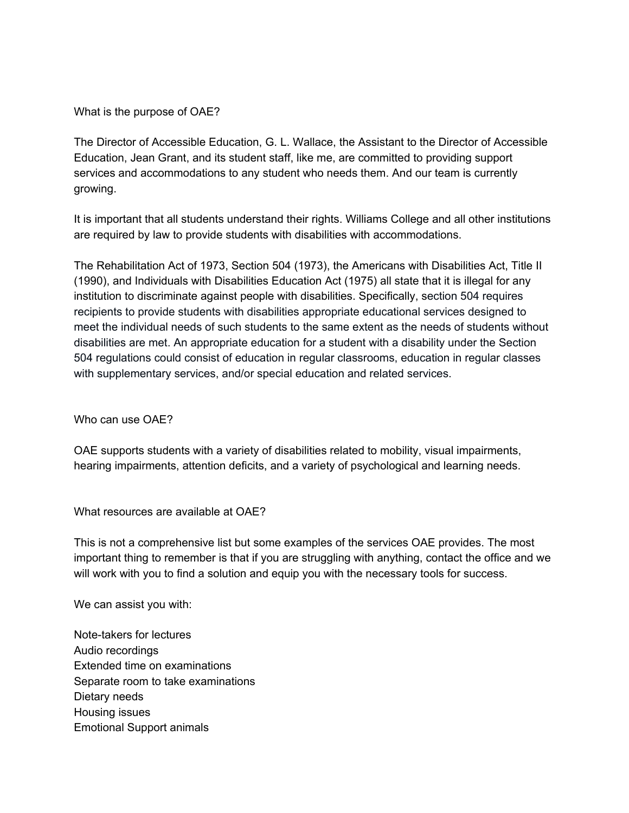What is the purpose of OAE?

The Director of Accessible Education, G. L. Wallace, the Assistant to the Director of Accessible Education, Jean Grant, and its student staff, like me, are committed to providing support services and accommodations to any student who needs them. And our team is currently growing.

It is important that all students understand their rights. Williams College and all other institutions are required by law to provide students with disabilities with accommodations.

The Rehabilitation Act of 1973, Section 504 (1973), the Americans with Disabilities Act, Title II (1990), and Individuals with Disabilities Education Act (1975) all state that it is illegal for any institution to discriminate against people with disabilities. Specifically, section 504 requires recipients to provide students with disabilities appropriate educational services designed to meet the individual needs of such students to the same extent as the needs of students without disabilities are met. An appropriate education for a student with a disability under the Section 504 regulations could consist of education in regular classrooms, education in regular classes with supplementary services, and/or special education and related services.

Who can use OAE?

OAE supports students with a variety of disabilities related to mobility, visual impairments, hearing impairments, attention deficits, and a variety of psychological and learning needs.

What resources are available at OAE?

This is not a comprehensive list but some examples of the services OAE provides. The most important thing to remember is that if you are struggling with anything, contact the office and we will work with you to find a solution and equip you with the necessary tools for success.

We can assist you with:

Note-takers for lectures Audio recordings Extended time on examinations Separate room to take examinations Dietary needs Housing issues Emotional Support animals